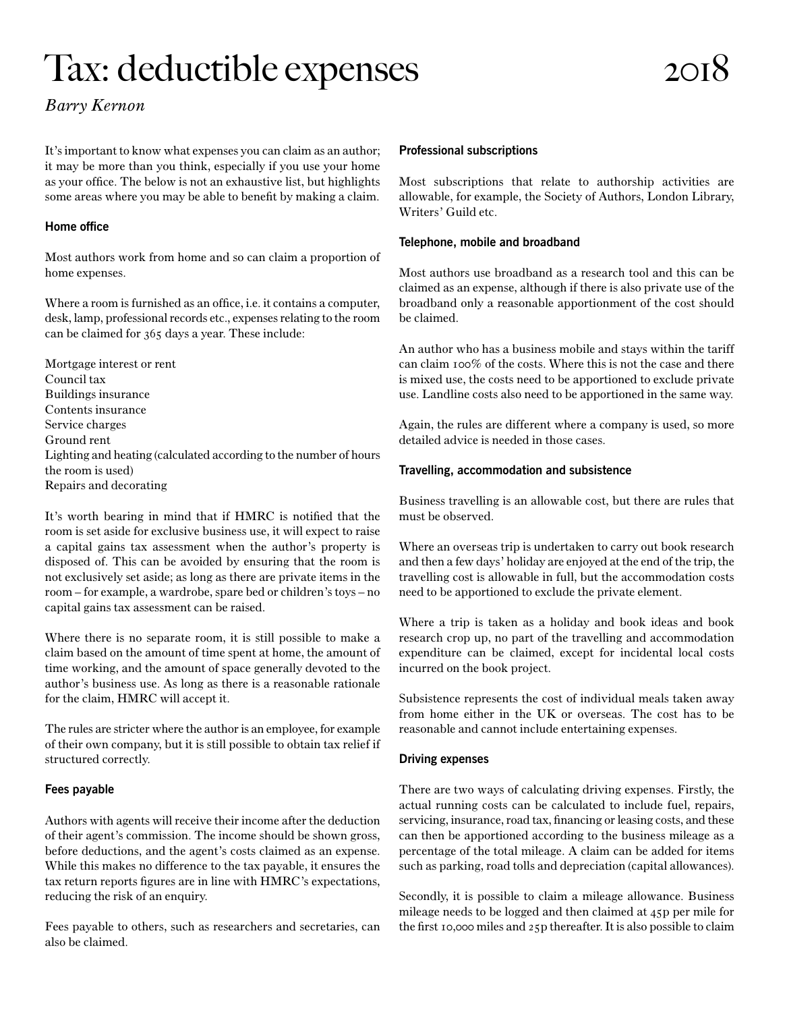# Tax: deductible expenses

## *Barry Kernon*

It's important to know what expenses you can claim as an author; it may be more than you think, especially if you use your home as your office. The below is not an exhaustive list, but highlights some areas where you may be able to benefit by making a claim.

### **Home office**

Most authors work from home and so can claim a proportion of home expenses.

Where a room is furnished as an office, i.e. it contains a computer, desk, lamp, professional records etc., expenses relating to the room can be claimed for 365 days a year. These include:

Mortgage interest or rent Council tax Buildings insurance Contents insurance Service charges Ground rent Lighting and heating (calculated according to the number of hours the room is used) Repairs and decorating

It's worth bearing in mind that if HMRC is notified that the room is set aside for exclusive business use, it will expect to raise a capital gains tax assessment when the author's property is disposed of. This can be avoided by ensuring that the room is not exclusively set aside; as long as there are private items in the room – for example, a wardrobe, spare bed or children's toys – no capital gains tax assessment can be raised.

Where there is no separate room, it is still possible to make a claim based on the amount of time spent at home, the amount of time working, and the amount of space generally devoted to the author's business use. As long as there is a reasonable rationale for the claim, HMRC will accept it.

The rules are stricter where the author is an employee, for example of their own company, but it is still possible to obtain tax relief if structured correctly.

#### **Fees payable**

Authors with agents will receive their income after the deduction of their agent's commission. The income should be shown gross, before deductions, and the agent's costs claimed as an expense. While this makes no difference to the tax payable, it ensures the tax return reports figures are in line with HMRC's expectations, reducing the risk of an enquiry.

Fees payable to others, such as researchers and secretaries, can also be claimed.

#### **Professional subscriptions**

Most subscriptions that relate to authorship activities are allowable, for example, the Society of Authors, London Library, Writers' Guild etc.

#### **Telephone, mobile and broadband**

Most authors use broadband as a research tool and this can be claimed as an expense, although if there is also private use of the broadband only a reasonable apportionment of the cost should be claimed.

An author who has a business mobile and stays within the tariff can claim 100% of the costs. Where this is not the case and there is mixed use, the costs need to be apportioned to exclude private use. Landline costs also need to be apportioned in the same way.

Again, the rules are different where a company is used, so more detailed advice is needed in those cases.

#### **Travelling, accommodation and subsistence**

Business travelling is an allowable cost, but there are rules that must be observed.

Where an overseas trip is undertaken to carry out book research and then a few days' holiday are enjoyed at the end of the trip, the travelling cost is allowable in full, but the accommodation costs need to be apportioned to exclude the private element.

Where a trip is taken as a holiday and book ideas and book research crop up, no part of the travelling and accommodation expenditure can be claimed, except for incidental local costs incurred on the book project.

Subsistence represents the cost of individual meals taken away from home either in the UK or overseas. The cost has to be reasonable and cannot include entertaining expenses.

#### **Driving expenses**

There are two ways of calculating driving expenses. Firstly, the actual running costs can be calculated to include fuel, repairs, servicing, insurance, road tax, financing or leasing costs, and these can then be apportioned according to the business mileage as a percentage of the total mileage. A claim can be added for items such as parking, road tolls and depreciation (capital allowances).

Secondly, it is possible to claim a mileage allowance. Business mileage needs to be logged and then claimed at 45p per mile for the first 10,000 miles and 25p thereafter. It is also possible to claim